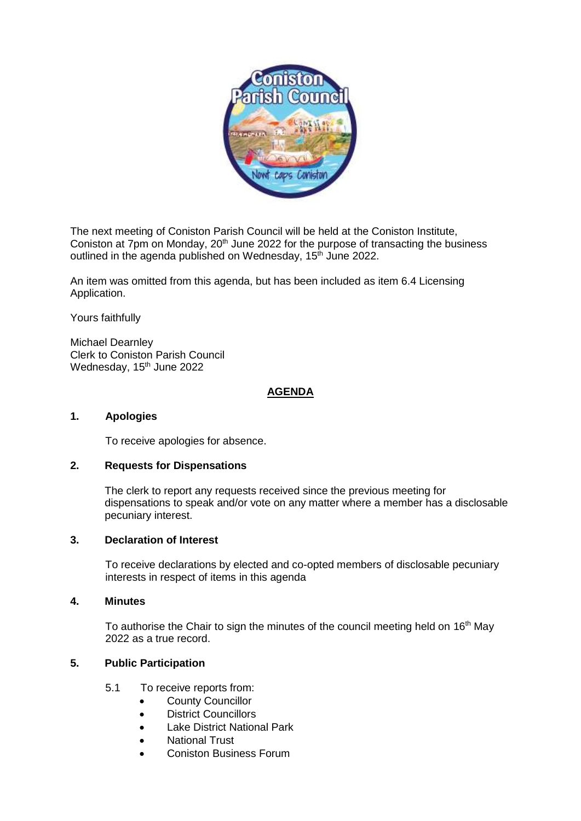

The next meeting of Coniston Parish Council will be held at the Coniston Institute, Coniston at 7pm on Monday, 20<sup>th</sup> June 2022 for the purpose of transacting the business outlined in the agenda published on Wednesday, 15<sup>th</sup> June 2022.

An item was omitted from this agenda, but has been included as item 6.4 Licensing Application.

Yours faithfully

Michael Dearnley Clerk to Coniston Parish Council Wednesday, 15<sup>th</sup> June 2022

# **AGENDA**

## **1. Apologies**

To receive apologies for absence.

#### **2. Requests for Dispensations**

The clerk to report any requests received since the previous meeting for dispensations to speak and/or vote on any matter where a member has a disclosable pecuniary interest.

## **3. Declaration of Interest**

To receive declarations by elected and co-opted members of disclosable pecuniary interests in respect of items in this agenda

# **4. Minutes**

To authorise the Chair to sign the minutes of the council meeting held on 16<sup>th</sup> May 2022 as a true record.

# **5. Public Participation**

- 5.1 To receive reports from:
	- County Councillor
	- District Councillors
	- Lake District National Park
	- National Trust
	- Coniston Business Forum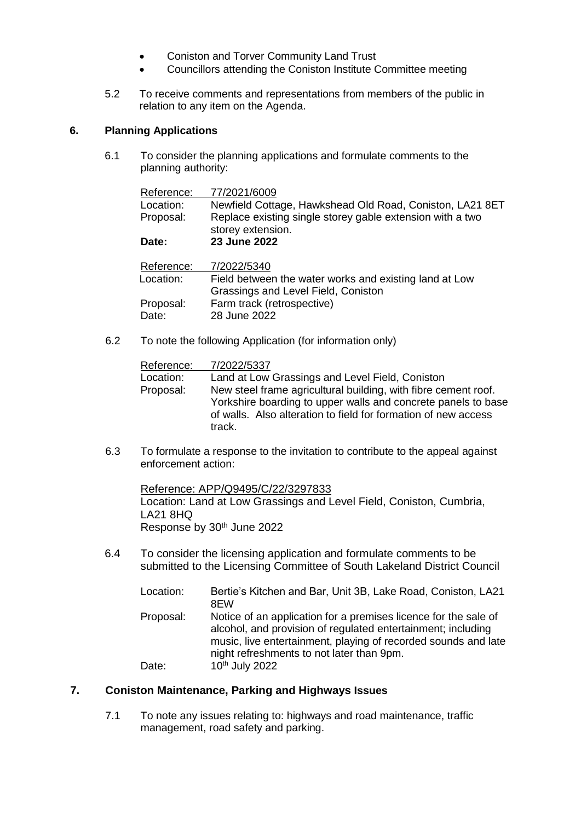- Coniston and Torver Community Land Trust
- Councillors attending the Coniston Institute Committee meeting
- 5.2 To receive comments and representations from members of the public in relation to any item on the Agenda.

# **6. Planning Applications**

6.1 To consider the planning applications and formulate comments to the planning authority:

| Reference: | 77/2021/6009                                              |
|------------|-----------------------------------------------------------|
| Location:  | Newfield Cottage, Hawkshead Old Road, Coniston, LA21 8ET  |
| Proposal:  | Replace existing single storey gable extension with a two |
|            | storey extension.                                         |
| Date:      | 23 June 2022                                              |
| Reference: | 7/2022/5340                                               |
| Location:  | Field between the water works and existing land at Low    |
|            | Grassings and Level Field, Coniston                       |
| Proposal:  | Farm track (retrospective)                                |

- Date: 28 June 2022
- 6.2 To note the following Application (for information only)

| Reference: | 7/2022/5337                                                                                                                                                                                                 |
|------------|-------------------------------------------------------------------------------------------------------------------------------------------------------------------------------------------------------------|
| Location:  | Land at Low Grassings and Level Field, Coniston                                                                                                                                                             |
| Proposal:  | New steel frame agricultural building, with fibre cement roof.<br>Yorkshire boarding to upper walls and concrete panels to base<br>of walls. Also alteration to field for formation of new access<br>track. |

6.3 To formulate a response to the invitation to contribute to the appeal against enforcement action:

Reference: APP/Q9495/C/22/3297833 Location: Land at Low Grassings and Level Field, Coniston, Cumbria, LA21 8HQ Response by 30<sup>th</sup> June 2022

6.4 To consider the licensing application and formulate comments to be submitted to the Licensing Committee of South Lakeland District Council

| Location: | Bertie's Kitchen and Bar, Unit 3B, Lake Road, Coniston, LA21<br>8FW                                                                                                                                                                            |
|-----------|------------------------------------------------------------------------------------------------------------------------------------------------------------------------------------------------------------------------------------------------|
| Proposal: | Notice of an application for a premises licence for the sale of<br>alcohol, and provision of regulated entertainment; including<br>music, live entertainment, playing of recorded sounds and late<br>night refreshments to not later than 9pm. |
| Date:     | 10 <sup>th</sup> July 2022                                                                                                                                                                                                                     |

# **7. Coniston Maintenance, Parking and Highways Issues**

7.1 To note any issues relating to: highways and road maintenance, traffic management, road safety and parking.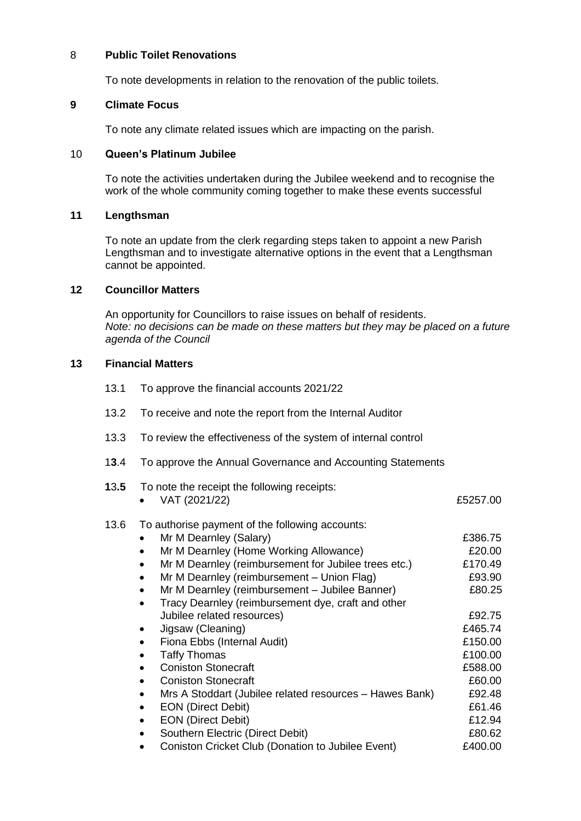#### 8 **Public Toilet Renovations**

To note developments in relation to the renovation of the public toilets.

# **9 Climate Focus**

To note any climate related issues which are impacting on the parish.

## 10 **Queen's Platinum Jubilee**

To note the activities undertaken during the Jubilee weekend and to recognise the work of the whole community coming together to make these events successful

## **11 Lengthsman**

To note an update from the clerk regarding steps taken to appoint a new Parish Lengthsman and to investigate alternative options in the event that a Lengthsman cannot be appointed.

# **12 Councillor Matters**

An opportunity for Councillors to raise issues on behalf of residents. *Note: no decisions can be made on these matters but they may be placed on a future agenda of the Council*

# **13 Financial Matters**

- 13.1 To approve the financial accounts 2021/22
- 13.2 To receive and note the report from the Internal Auditor
- 13.3 To review the effectiveness of the system of internal control
- 1**3**.4 To approve the Annual Governance and Accounting Statements

| 13.5 | To note the receipt the following receipts:<br>VAT (2021/22)         | £5257.00 |
|------|----------------------------------------------------------------------|----------|
| 13.6 | To authorise payment of the following accounts:                      |          |
|      | Mr M Dearnley (Salary)                                               | £386.75  |
|      | Mr M Dearnley (Home Working Allowance)                               | £20.00   |
|      | Mr M Dearnley (reimbursement for Jubilee trees etc.)<br>$\bullet$    | £170.49  |
|      | Mr M Dearnley (reimbursement - Union Flag)<br>$\bullet$              | £93.90   |
|      | Mr M Dearnley (reimbursement - Jubilee Banner)<br>$\bullet$          | £80.25   |
|      | Tracy Dearnley (reimbursement dye, craft and other<br>$\bullet$      |          |
|      | Jubilee related resources)                                           | £92.75   |
|      | Jigsaw (Cleaning)<br>$\bullet$                                       | £465.74  |
|      | Fiona Ebbs (Internal Audit)<br>$\bullet$                             | £150.00  |
|      | <b>Taffy Thomas</b><br>$\bullet$                                     | £100.00  |
|      | <b>Coniston Stonecraft</b><br>$\bullet$                              | £588.00  |
|      | <b>Coniston Stonecraft</b><br>$\bullet$                              | £60.00   |
|      | Mrs A Stoddart (Jubilee related resources - Hawes Bank)<br>$\bullet$ | £92.48   |
|      | <b>EON (Direct Debit)</b><br>$\bullet$                               | £61.46   |
|      | <b>EON (Direct Debit)</b><br>$\bullet$                               | £12.94   |
|      | Southern Electric (Direct Debit)                                     | £80.62   |
|      | Coniston Cricket Club (Donation to Jubilee Event)                    | £400.00  |